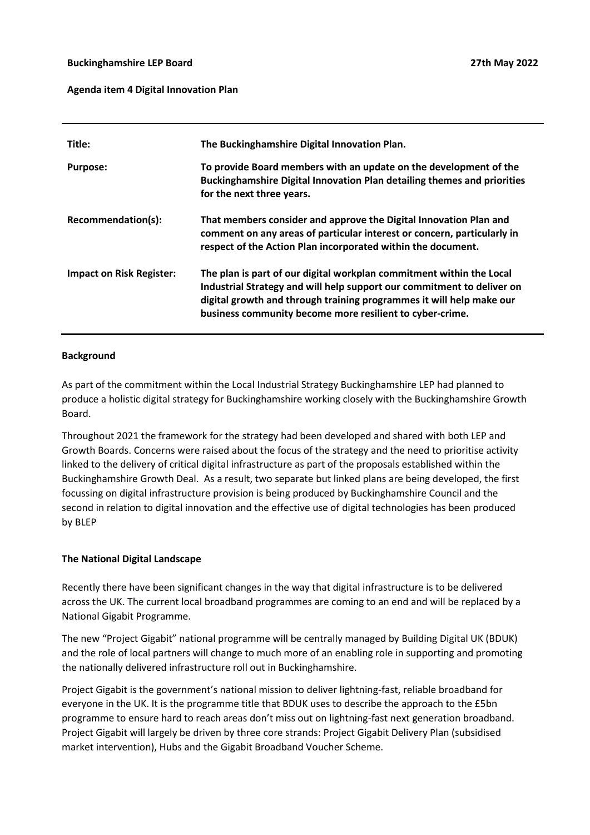#### **Buckinghamshire LEP Board**

#### **Agenda item 4 Digital Innovation Plan**

| Title:                          | The Buckinghamshire Digital Innovation Plan.                                                                                                                                                                                                                                       |
|---------------------------------|------------------------------------------------------------------------------------------------------------------------------------------------------------------------------------------------------------------------------------------------------------------------------------|
| <b>Purpose:</b>                 | To provide Board members with an update on the development of the<br>Buckinghamshire Digital Innovation Plan detailing themes and priorities<br>for the next three years.                                                                                                          |
| Recommendation(s):              | That members consider and approve the Digital Innovation Plan and<br>comment on any areas of particular interest or concern, particularly in<br>respect of the Action Plan incorporated within the document.                                                                       |
| <b>Impact on Risk Register:</b> | The plan is part of our digital workplan commitment within the Local<br>Industrial Strategy and will help support our commitment to deliver on<br>digital growth and through training programmes it will help make our<br>business community become more resilient to cyber-crime. |

#### **Background**

As part of the commitment within the Local Industrial Strategy Buckinghamshire LEP had planned to produce a holistic digital strategy for Buckinghamshire working closely with the Buckinghamshire Growth Board.

Throughout 2021 the framework for the strategy had been developed and shared with both LEP and Growth Boards. Concerns were raised about the focus of the strategy and the need to prioritise activity linked to the delivery of critical digital infrastructure as part of the proposals established within the Buckinghamshire Growth Deal. As a result, two separate but linked plans are being developed, the first focussing on digital infrastructure provision is being produced by Buckinghamshire Council and the second in relation to digital innovation and the effective use of digital technologies has been produced by BLEP

#### **The National Digital Landscape**

Recently there have been significant changes in the way that digital infrastructure is to be delivered across the UK. The current local broadband programmes are coming to an end and will be replaced by a National Gigabit Programme.

The new "Project Gigabit" national programme will be centrally managed by Building Digital UK (BDUK) and the role of local partners will change to much more of an enabling role in supporting and promoting the nationally delivered infrastructure roll out in Buckinghamshire.

Project Gigabit is the government's national mission to deliver lightning-fast, reliable broadband for everyone in the UK. It is the programme title that BDUK uses to describe the approach to the £5bn programme to ensure hard to reach areas don't miss out on lightning-fast next generation broadband. Project Gigabit will largely be driven by three core strands: Project Gigabit Delivery Plan (subsidised market intervention), Hubs and the Gigabit Broadband Voucher Scheme.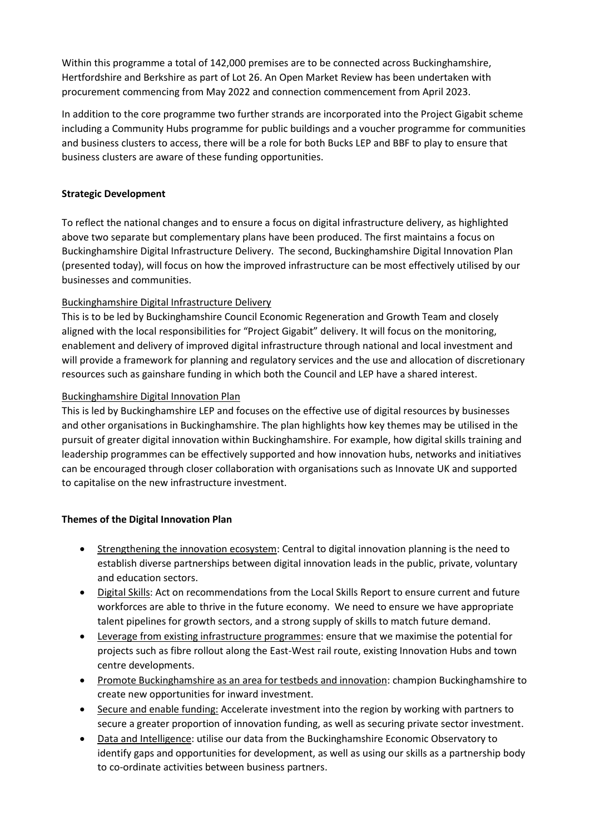Within this programme a total of 142,000 premises are to be connected across Buckinghamshire, Hertfordshire and Berkshire as part of Lot 26. An Open Market Review has been undertaken with procurement commencing from May 2022 and connection commencement from April 2023.

In addition to the core programme two further strands are incorporated into the Project Gigabit scheme including a Community Hubs programme for public buildings and a voucher programme for communities and business clusters to access, there will be a role for both Bucks LEP and BBF to play to ensure that business clusters are aware of these funding opportunities.

### **Strategic Development**

To reflect the national changes and to ensure a focus on digital infrastructure delivery, as highlighted above two separate but complementary plans have been produced. The first maintains a focus on Buckinghamshire Digital Infrastructure Delivery. The second, Buckinghamshire Digital Innovation Plan (presented today), will focus on how the improved infrastructure can be most effectively utilised by our businesses and communities.

## Buckinghamshire Digital Infrastructure Delivery

This is to be led by Buckinghamshire Council Economic Regeneration and Growth Team and closely aligned with the local responsibilities for "Project Gigabit" delivery. It will focus on the monitoring, enablement and delivery of improved digital infrastructure through national and local investment and will provide a framework for planning and regulatory services and the use and allocation of discretionary resources such as gainshare funding in which both the Council and LEP have a shared interest.

## Buckinghamshire Digital Innovation Plan

This is led by Buckinghamshire LEP and focuses on the effective use of digital resources by businesses and other organisations in Buckinghamshire. The plan highlights how key themes may be utilised in the pursuit of greater digital innovation within Buckinghamshire. For example, how digital skills training and leadership programmes can be effectively supported and how innovation hubs, networks and initiatives can be encouraged through closer collaboration with organisations such as Innovate UK and supported to capitalise on the new infrastructure investment.

# **Themes of the Digital Innovation Plan**

- Strengthening the innovation ecosystem: Central to digital innovation planning is the need to establish diverse partnerships between digital innovation leads in the public, private, voluntary and education sectors.
- Digital Skills: Act on recommendations from the Local Skills Report to ensure current and future workforces are able to thrive in the future economy. We need to ensure we have appropriate talent pipelines for growth sectors, and a strong supply of skills to match future demand.
- Leverage from existing infrastructure programmes: ensure that we maximise the potential for projects such as fibre rollout along the East-West rail route, existing Innovation Hubs and town centre developments.
- Promote Buckinghamshire as an area for testbeds and innovation: champion Buckinghamshire to create new opportunities for inward investment.
- Secure and enable funding: Accelerate investment into the region by working with partners to secure a greater proportion of innovation funding, as well as securing private sector investment.
- Data and Intelligence: utilise our data from the Buckinghamshire Economic Observatory to identify gaps and opportunities for development, as well as using our skills as a partnership body to co-ordinate activities between business partners.